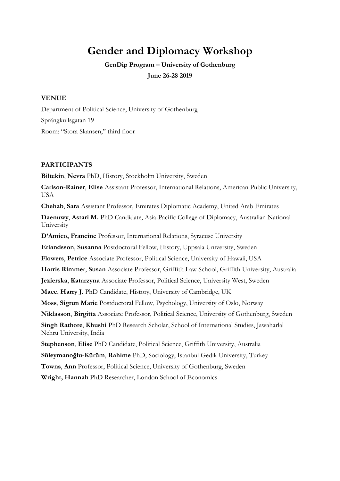# **Gender and Diplomacy Workshop**

**GenDip Program – University of Gothenburg June 26-28 2019**

### **VENUE**

Department of Political Science, University of Gothenburg Sprängkullsgatan 19 Room: "Stora Skansen," third floor

#### **PARTICIPANTS**

**Biltekin**, **Nevra** PhD, History, Stockholm University, Sweden

**Carlson-Rainer**, **Elise** Assistant Professor, International Relations, American Public University, USA

**Chehab**, **Sara** Assistant Professor, Emirates Diplomatic Academy, United Arab Emirates

**Daenuwy**, **Astari M.** PhD Candidate, Asia-Pacific College of Diplomacy, Australian National University

**D'Amico, Francine** Professor, International Relations, Syracuse University

**Erlandsson**, **Susanna** Postdoctoral Fellow, History, Uppsala University, Sweden

**Flowers**, **Petrice** Associate Professor, Political Science, University of Hawaii, USA

**Harris Rimmer**, **Susan** Associate Professor, Griffith Law School, Griffith University, Australia

**Jezierska**, **Katarzyna** Associate Professor, Political Science, University West, Sweden

**Mace**, **Harry J.** PhD Candidate, History, University of Cambridge, UK

**Moss**, **Sigrun Marie** Postdoctoral Fellow, Psychology, University of Oslo, Norway

**Niklasson**, **Birgitta** Associate Professor, Political Science, University of Gothenburg, Sweden

**Singh Rathore**, **Khushi** PhD Research Scholar, School of International Studies, Jawaharlal Nehru University, India

**Stephenson**, **Elise** PhD Candidate, Political Science, Griffith University, Australia

**Süleymanoğlu-Kürüm**, **Rahime** PhD, Sociology, Istanbul Gedik University, Turkey

**Towns**, **Ann** Professor, Political Science, University of Gothenburg, Sweden

**Wright, Hannah** PhD Researcher, London School of Economics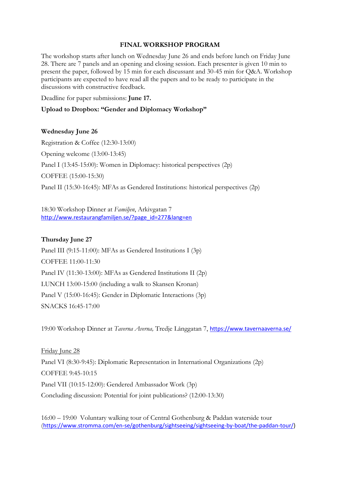## **FINAL WORKSHOP PROGRAM**

The workshop starts after lunch on Wednesday June 26 and ends before lunch on Friday June 28. There are 7 panels and an opening and closing session. Each presenter is given 10 min to present the paper, followed by 15 min for each discussant and 30-45 min for Q&A. Workshop participants are expected to have read all the papers and to be ready to participate in the discussions with constructive feedback.

Deadline for paper submissions: **June 17.**

**Upload to Dropbox: "Gender and Diplomacy Workshop"**

## **Wednesday June 26**

Registration & Coffee (12:30-13:00) Opening welcome (13:00-13:45) Panel I (13:45-15:00): Women in Diplomacy: historical perspectives (2p) COFFEE (15:00-15:30) Panel II (15:30-16:45): MFAs as Gendered Institutions: historical perspectives (2p)

18:30 Workshop Dinner at *Familjen*, Arkivgatan 7 [http://www.restaurangfamiljen.se/?page\\_id=277&lang=en](http://www.restaurangfamiljen.se/?page_id=277&lang=en)

#### **Thursday June 27**

Panel III (9:15-11:00): MFAs as Gendered Institutions I (3p) COFFEE 11:00-11:30 Panel IV (11:30-13:00): MFAs as Gendered Institutions II (2p) LUNCH 13:00-15:00 (including a walk to Skansen Kronan) Panel V (15:00-16:45): Gender in Diplomatic Interactions (3p) SNACKS 16:45-17:00

19:00 Workshop Dinner at *Taverna Averna,* Tredje Långgatan 7, <https://www.tavernaaverna.se/>

Friday June 28 Panel VI (8:30-9:45): Diplomatic Representation in International Organizations (2p) COFFEE 9:45-10:15 Panel VII (10:15-12:00): Gendered Ambassador Work (3p) Concluding discussion: Potential for joint publications? (12:00-13:30)

16:00 – 19:00 Voluntary walking tour of Central Gothenburg & Paddan waterside tour ([https://www.stromma.com/en-se/gothenburg/sightseeing/sightseeing-by-boat/the-paddan-tour/\)](https://www.stromma.com/en-se/gothenburg/sightseeing/sightseeing-by-boat/the-paddan-tour/)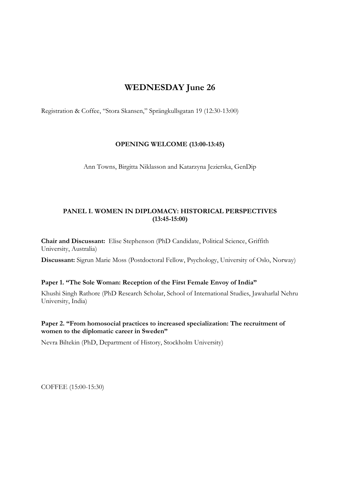# **WEDNESDAY June 26**

Registration & Coffee, "Stora Skansen," Sprängkullsgatan 19 (12:30-13:00)

# **OPENING WELCOME (13:00-13:45)**

Ann Towns, Birgitta Niklasson and Katarzyna Jezierska, GenDip

# **PANEL I. WOMEN IN DIPLOMACY: HISTORICAL PERSPECTIVES (13:45-15:00)**

**Chair and Discussant:** Elise Stephenson (PhD Candidate, Political Science, Griffith University, Australia)

**Discussant:** Sigrun Marie Moss (Postdoctoral Fellow, Psychology, University of Oslo, Norway)

## **Paper 1. "The Sole Woman: Reception of the First Female Envoy of India"**

Khushi Singh Rathore (PhD Research Scholar, School of International Studies, Jawaharlal Nehru University, India)

# **Paper 2. "From homosocial practices to increased specialization: The recruitment of women to the diplomatic career in Sweden"**

Nevra Biltekin (PhD, Department of History, Stockholm University)

COFFEE (15:00-15:30)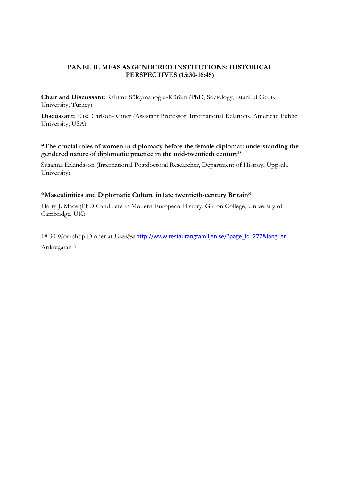# **PANEL II. MFAS AS GENDERED INSTITUTIONS: HISTORICAL PERSPECTIVES (15:30-16:45)**

**Chair and Discussant:** Rahime Süleymanoğlu-Kürüm (PhD, Sociology, Istanbul Gedik University, Turkey)

**Discussant:** Elise Carlson-Rainer (Assistant Professor, International Relations, American Public University, USA)

**"The crucial roles of women in diplomacy before the female diplomat: understanding the gendered nature of diplomatic practice in the mid-twentieth century"**

Susanna Erlandsson (International Postdoctoral Researcher, Department of History, Uppsala University)

## **"Masculinities and Diplomatic Culture in late twentieth-century Britain"**

Harry J. Mace (PhD Candidate in Modern European History, Girton College, University of Cambridge, UK)

18:30 Workshop Dinner at *Familjen* [http://www.restaurangfamiljen.se/?page\\_id=277&lang=en](http://www.restaurangfamiljen.se/?page_id=277&lang=en) Arikivgatan 7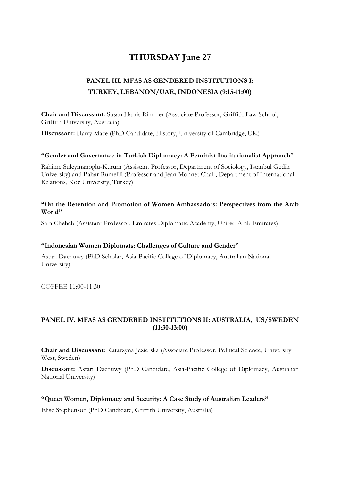# **THURSDAY June 27**

# **PANEL III. MFAS AS GENDERED INSTITUTIONS I: TURKEY, LEBANON/UAE, INDONESIA (9:15-11:00)**

**Chair and Discussant:** Susan Harris Rimmer (Associate Professor, Griffith Law School, Griffith University, Australia)

**Discussant:** Harry Mace (PhD Candidate, History, University of Cambridge, UK)

## **"Gender and Governance in Turkish Diplomacy: A Feminist Institutionalist Approach**"

Rahime Süleymanoğlu-Kürüm (Assistant Professor, Department of Sociology, Istanbul Gedik University) and Bahar Rumelili (Professor and Jean Monnet Chair, Department of International Relations, Koc University, Turkey)

#### **"On the Retention and Promotion of Women Ambassadors: Perspectives from the Arab World"**

Sara Chehab (Assistant Professor, Emirates Diplomatic Academy, United Arab Emirates)

#### **"Indonesian Women Diplomats: Challenges of Culture and Gender"**

Astari Daenuwy (PhD Scholar, Asia-Pacific College of Diplomacy, Australian National University)

COFFEE 11:00-11:30

# **PANEL IV. MFAS AS GENDERED INSTITUTIONS II: AUSTRALIA, US/SWEDEN (11:30-13:00)**

**Chair and Discussant:** Katarzyna Jezierska (Associate Professor, Political Science, University West, Sweden)

**Discussant:** Astari Daenuwy (PhD Candidate, Asia-Pacific College of Diplomacy, Australian National University)

## **"Queer Women, Diplomacy and Security: A Case Study of Australian Leaders"**

Elise Stephenson (PhD Candidate, Griffith University, Australia)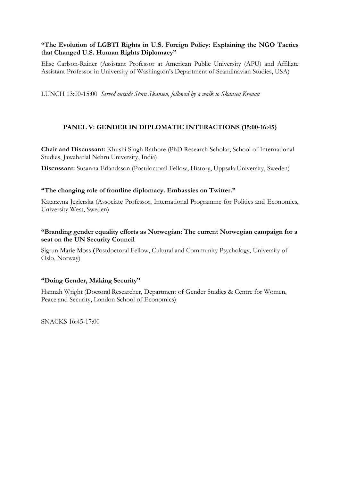# **"The Evolution of LGBTI Rights in U.S. Foreign Policy: Explaining the NGO Tactics that Changed U.S. Human Rights Diplomacy"**

Elise Carlson-Rainer (Assistant Professor at American Public University (APU) and Affiliate Assistant Professor in University of Washington's Department of Scandinavian Studies, USA)

LUNCH 13:00-15:00 *Served outside Stora Skansen, followed by a walk to Skansen Kronan*

# **PANEL V: GENDER IN DIPLOMATIC INTERACTIONS (15:00-16:45)**

**Chair and Discussant:** Khushi Singh Rathore (PhD Research Scholar, School of International Studies, Jawaharlal Nehru University, India)

**Discussant:** Susanna Erlandsson (Postdoctoral Fellow, History, Uppsala University, Sweden)

#### **"The changing role of frontline diplomacy. Embassies on Twitter."**

Katarzyna Jezierska (Associate Professor, International Programme for Politics and Economics, University West, Sweden)

# **"Branding gender equality efforts as Norwegian: The current Norwegian campaign for a seat on the UN Security Council**

Sigrun Marie Moss **(**Postdoctoral Fellow, Cultural and Community Psychology, University of Oslo, Norway)

## **"Doing Gender, Making Security"**

Hannah Wright (Doctoral Researcher, Department of Gender Studies & Centre for Women, Peace and Security, London School of Economics)

SNACKS 16:45-17:00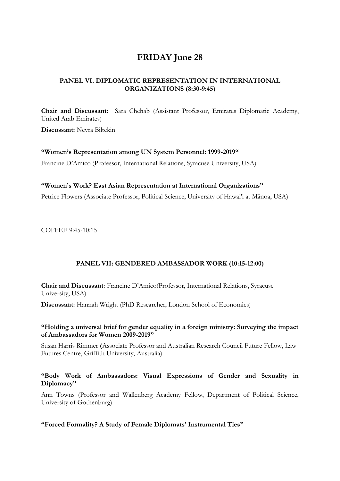# **FRIDAY June 28**

# **PANEL VI. DIPLOMATIC REPRESENTATION IN INTERNATIONAL ORGANIZATIONS (8:30-9:45)**

**Chair and Discussant:** Sara Chehab (Assistant Professor, Emirates Diplomatic Academy, United Arab Emirates)

**Discussant:** Nevra Biltekin

## **"Women's Representation among UN System Personnel: 1999-2019"**

Francine D'Amico (Professor, International Relations, Syracuse University, USA)

#### **"Women's Work? East Asian Representation at International Organizations"**

Petrice Flowers (Associate Professor, Political Science, University of Hawai'i at Mānoa, USA)

COFFEE 9:45-10:15

## **PANEL VII: GENDERED AMBASSADOR WORK (10:15-12:00)**

**Chair and Discussant:** Francine D'Amico(Professor, International Relations, Syracuse University, USA)

**Discussant:** Hannah Wright (PhD Researcher, London School of Economics)

## **"Holding a universal brief for gender equality in a foreign ministry: Surveying the impact of Ambassadors for Women 2009-2019"**

Susan Harris Rimmer **(**Associate Professor and Australian Research Council Future Fellow, Law Futures Centre, Griffith University, Australia)

# **"Body Work of Ambassadors: Visual Expressions of Gender and Sexuality in Diplomacy"**

Ann Towns (Professor and Wallenberg Academy Fellow, Department of Political Science, University of Gothenburg)

## **"Forced Formality? A Study of Female Diplomats' Instrumental Ties"**